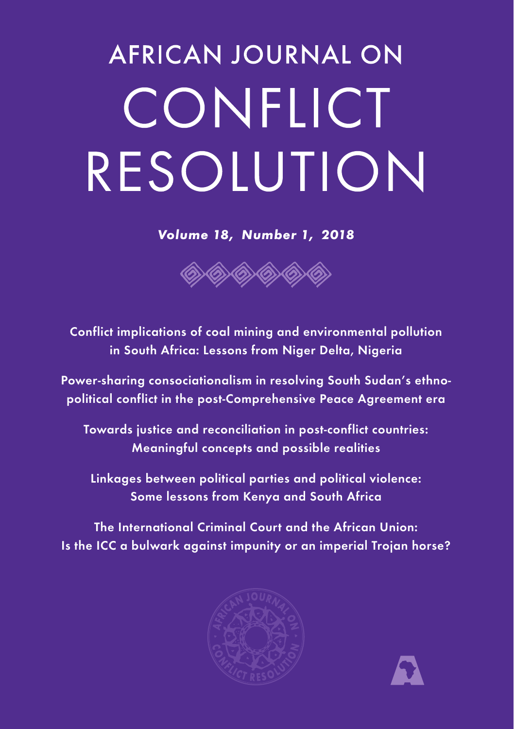# **AFRICAN JOURNAL ON** CONFLICT RESOLUTION

*Volume 18, Number 1, 2018*



Conflict implications of coal mining and environmental pollution in South Africa: Lessons from Niger Delta, Nigeria

Power-sharing consociationalism in resolving South Sudan's ethnopolitical conflict in the post-Comprehensive Peace Agreement era

Towards justice and reconciliation in post-conflict countries: Meaningful concepts and possible realities

Linkages between political parties and political violence: Some lessons from Kenya and South Africa

The International Criminal Court and the African Union: Is the ICC a bulwark against impunity or an imperial Trojan horse?



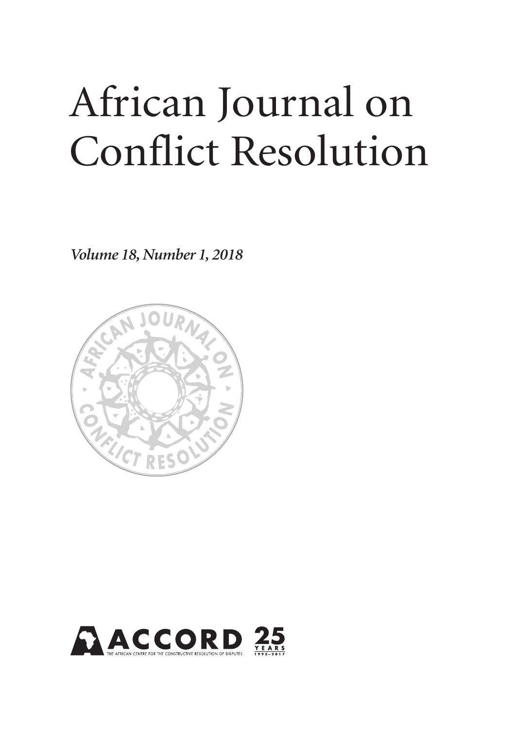## African Journal on Conflict Resolution

*Volume 18, Number 1, 2018*



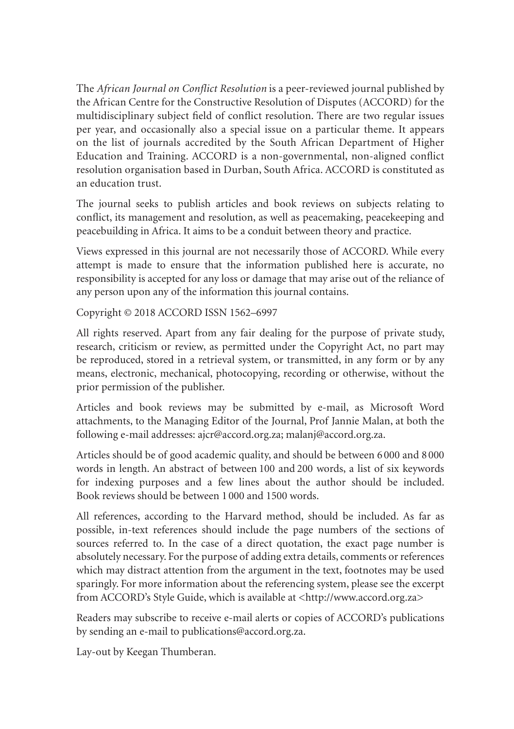The *African Journal on Conflict Resolution* is a peer-reviewed journal published by the African Centre for the Constructive Resolution of Disputes (ACCORD) for the multidisciplinary subject field of conflict resolution. There are two regular issues per year, and occasionally also a special issue on a particular theme. It appears on the list of journals accredited by the South African Department of Higher Education and Training. ACCORD is a non-governmental, non-aligned conflict resolution organisation based in Durban, South Africa. ACCORD is constituted as an education trust.

The journal seeks to publish articles and book reviews on subjects relating to conflict, its management and resolution, as well as peacemaking, peacekeeping and peacebuilding in Africa. It aims to be a conduit between theory and practice.

Views expressed in this journal are not necessarily those of ACCORD. While every attempt is made to ensure that the information published here is accurate, no responsibility is accepted for any loss or damage that may arise out of the reliance of any person upon any of the information this journal contains.

Copyright © 2018 ACCORD ISSN 1562–6997

All rights reserved. Apart from any fair dealing for the purpose of private study, research, criticism or review, as permitted under the Copyright Act, no part may be reproduced, stored in a retrieval system, or transmitted, in any form or by any means, electronic, mechanical, photocopying, recording or otherwise, without the prior permission of the publisher.

Articles and book reviews may be submitted by e-mail, as Microsoft Word attachments, to the Managing Editor of the Journal, Prof Jannie Malan, at both the following e-mail addresses: ajcr@accord.org.za; malanj@accord.org.za.

Articles should be of good academic quality, and should be between 6 000 and 8 000 words in length. An abstract of between 100 and 200 words, a list of six keywords for indexing purposes and a few lines about the author should be included. Book reviews should be between 1 000 and 1500 words.

All references, according to the Harvard method, should be included. As far as possible, in-text references should include the page numbers of the sections of sources referred to. In the case of a direct quotation, the exact page number is absolutely necessary. For the purpose of adding extra details, comments or references which may distract attention from the argument in the text, footnotes may be used sparingly. For more information about the referencing system, please see the excerpt from ACCORD's Style Guide, which is available at <http://www.accord.org.za>

Readers may subscribe to receive e-mail alerts or copies of ACCORD's publications by sending an e-mail to publications@accord.org.za.

Lay-out by Keegan Thumberan.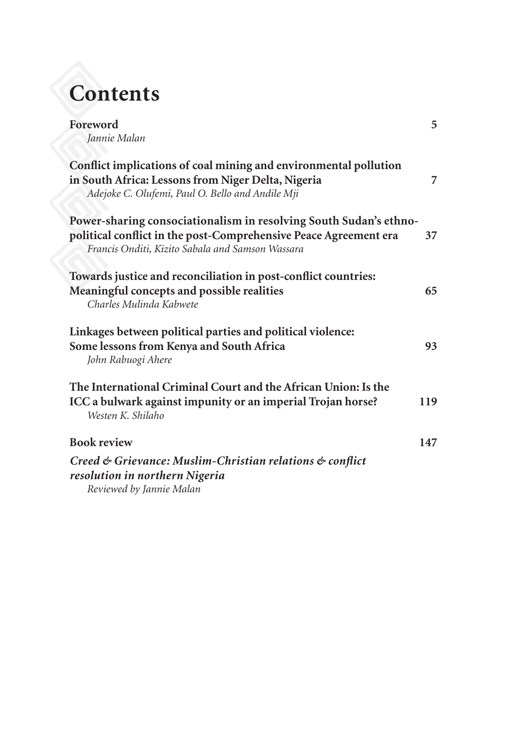## **Contents**

| Foreword                                                                                                                                                                                  | 5   |
|-------------------------------------------------------------------------------------------------------------------------------------------------------------------------------------------|-----|
| Jannie Malan                                                                                                                                                                              |     |
| Conflict implications of coal mining and environmental pollution<br>in South Africa: Lessons from Niger Delta, Nigeria<br>Adejoke C. Olufemi, Paul O. Bello and Andile Mji                | 7   |
| Power-sharing consociationalism in resolving South Sudan's ethno-<br>political conflict in the post-Comprehensive Peace Agreement era<br>Francis Onditi, Kizito Sabala and Samson Wassara | 37  |
| Towards justice and reconciliation in post-conflict countries:                                                                                                                            |     |
| Meaningful concepts and possible realities<br>Charles Mulinda Kabwete                                                                                                                     | 65  |
| Linkages between political parties and political violence:<br>Some lessons from Kenya and South Africa<br>John Rabuogi Ahere                                                              | 93  |
| The International Criminal Court and the African Union: Is the<br>ICC a bulwark against impunity or an imperial Trojan horse?<br>Westen K. Shilaho                                        | 119 |
| <b>Book review</b>                                                                                                                                                                        | 147 |
| Creed & Grievance: Muslim-Christian relations & conflict                                                                                                                                  |     |
| resolution in northern Nigeria                                                                                                                                                            |     |
| Reviewed by Jannie Malan                                                                                                                                                                  |     |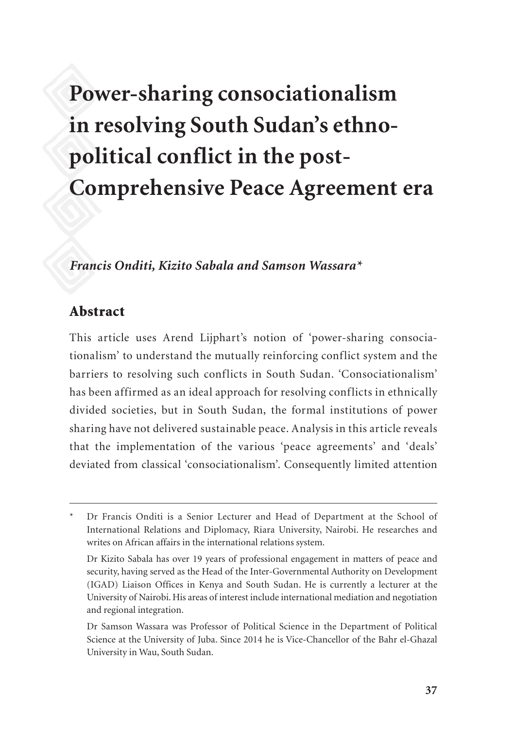### **Power-sharing consociationalism in resolving South Sudan's ethnopolitical conflict in the post-Comprehensive Peace Agreement era**

#### *Francis Onditi, Kizito Sabala and Samson Wassara\**

#### Abstract

This article uses Arend Lijphart's notion of 'power-sharing consociationalism' to understand the mutually reinforcing conflict system and the barriers to resolving such conflicts in South Sudan. 'Consociationalism' has been affirmed as an ideal approach for resolving conflicts in ethnically divided societies, but in South Sudan, the formal institutions of power sharing have not delivered sustainable peace. Analysis in this article reveals that the implementation of the various 'peace agreements' and 'deals' deviated from classical 'consociationalism'. Consequently limited attention

Dr Francis Onditi is a Senior Lecturer and Head of Department at the School of International Relations and Diplomacy, Riara University, Nairobi. He researches and writes on African affairs in the international relations system.

Dr Kizito Sabala has over 19 years of professional engagement in matters of peace and security, having served as the Head of the Inter-Governmental Authority on Development (IGAD) Liaison Offices in Kenya and South Sudan. He is currently a lecturer at the University of Nairobi. His areas of interest include international mediation and negotiation and regional integration.

Dr Samson Wassara was Professor of Political Science in the Department of Political Science at the University of Juba. Since 2014 he is Vice-Chancellor of the Bahr el-Ghazal University in Wau, South Sudan.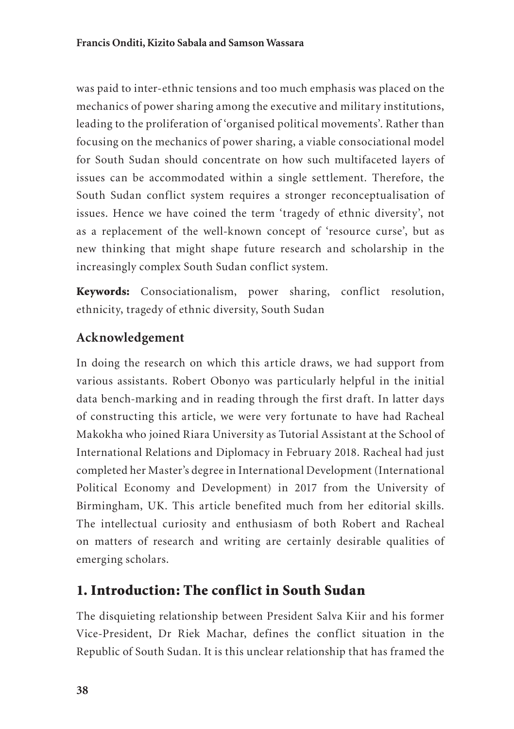was paid to inter-ethnic tensions and too much emphasis was placed on the mechanics of power sharing among the executive and military institutions, leading to the proliferation of 'organised political movements'. Rather than focusing on the mechanics of power sharing, a viable consociational model for South Sudan should concentrate on how such multifaceted layers of issues can be accommodated within a single settlement. Therefore, the South Sudan conflict system requires a stronger reconceptualisation of issues. Hence we have coined the term 'tragedy of ethnic diversity', not as a replacement of the well-known concept of 'resource curse', but as new thinking that might shape future research and scholarship in the increasingly complex South Sudan conflict system.

Keywords: Consociationalism, power sharing, conflict resolution, ethnicity, tragedy of ethnic diversity, South Sudan

#### **Acknowledgement**

In doing the research on which this article draws, we had support from various assistants. Robert Obonyo was particularly helpful in the initial data bench-marking and in reading through the first draft. In latter days of constructing this article, we were very fortunate to have had Racheal Makokha who joined Riara University as Tutorial Assistant at the School of International Relations and Diplomacy in February 2018. Racheal had just completed her Master's degree in International Development (International Political Economy and Development) in 2017 from the University of Birmingham, UK. This article benefited much from her editorial skills. The intellectual curiosity and enthusiasm of both Robert and Racheal on matters of research and writing are certainly desirable qualities of emerging scholars.

#### 1. Introduction: The conflict in South Sudan

The disquieting relationship between President Salva Kiir and his former Vice-President, Dr Riek Machar, defines the conflict situation in the Republic of South Sudan. It is this unclear relationship that has framed the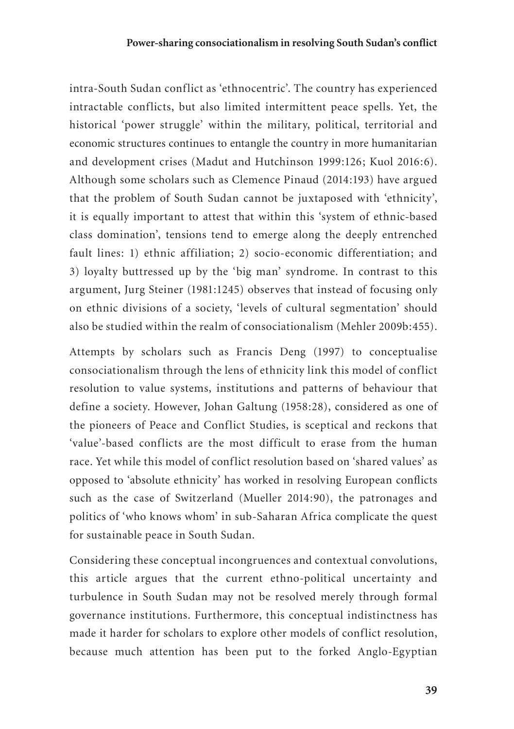intra-South Sudan conflict as 'ethnocentric'. The country has experienced intractable conflicts, but also limited intermittent peace spells. Yet, the historical 'power struggle' within the military, political, territorial and economic structures continues to entangle the country in more humanitarian and development crises (Madut and Hutchinson 1999:126; Kuol 2016:6). Although some scholars such as Clemence Pinaud (2014:193) have argued that the problem of South Sudan cannot be juxtaposed with 'ethnicity', it is equally important to attest that within this 'system of ethnic-based class domination', tensions tend to emerge along the deeply entrenched fault lines: 1) ethnic affiliation; 2) socio-economic differentiation; and 3) loyalty buttressed up by the 'big man' syndrome. In contrast to this argument, Jurg Steiner (1981:1245) observes that instead of focusing only on ethnic divisions of a society, 'levels of cultural segmentation' should also be studied within the realm of consociationalism (Mehler 2009b:455).

Attempts by scholars such as Francis Deng (1997) to conceptualise consociationalism through the lens of ethnicity link this model of conflict resolution to value systems, institutions and patterns of behaviour that define a society. However, Johan Galtung (1958:28), considered as one of the pioneers of Peace and Conflict Studies, is sceptical and reckons that 'value'-based conflicts are the most difficult to erase from the human race. Yet while this model of conflict resolution based on 'shared values' as opposed to 'absolute ethnicity' has worked in resolving European conflicts such as the case of Switzerland (Mueller 2014:90), the patronages and politics of 'who knows whom' in sub-Saharan Africa complicate the quest for sustainable peace in South Sudan.

Considering these conceptual incongruences and contextual convolutions, this article argues that the current ethno-political uncertainty and turbulence in South Sudan may not be resolved merely through formal governance institutions. Furthermore, this conceptual indistinctness has made it harder for scholars to explore other models of conflict resolution, because much attention has been put to the forked Anglo-Egyptian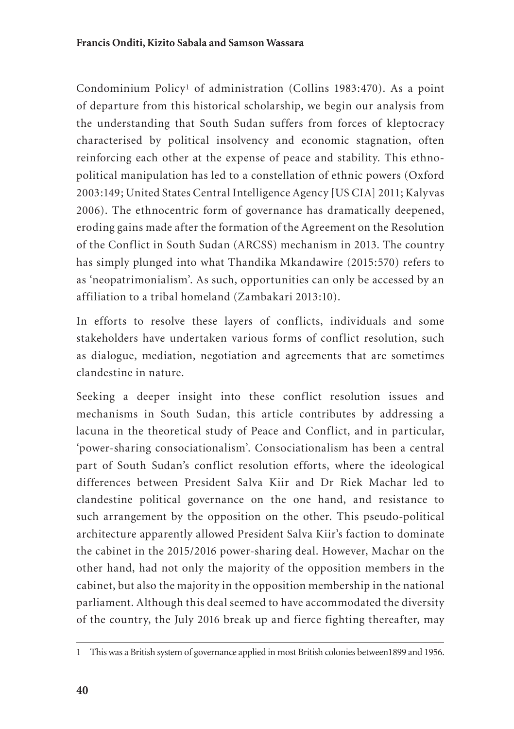Condominium Policy1 of administration (Collins 1983:470). As a point of departure from this historical scholarship, we begin our analysis from the understanding that South Sudan suffers from forces of kleptocracy characterised by political insolvency and economic stagnation, often reinforcing each other at the expense of peace and stability. This ethnopolitical manipulation has led to a constellation of ethnic powers (Oxford 2003:149; United States Central Intelligence Agency [US CIA] 2011; Kalyvas 2006). The ethnocentric form of governance has dramatically deepened, eroding gains made after the formation of the Agreement on the Resolution of the Conflict in South Sudan (ARCSS) mechanism in 2013. The country has simply plunged into what Thandika Mkandawire (2015:570) refers to as 'neopatrimonialism'. As such, opportunities can only be accessed by an affiliation to a tribal homeland (Zambakari 2013:10).

In efforts to resolve these layers of conflicts, individuals and some stakeholders have undertaken various forms of conflict resolution, such as dialogue, mediation, negotiation and agreements that are sometimes clandestine in nature.

Seeking a deeper insight into these conflict resolution issues and mechanisms in South Sudan, this article contributes by addressing a lacuna in the theoretical study of Peace and Conflict, and in particular, 'power-sharing consociationalism'. Consociationalism has been a central part of South Sudan's conflict resolution efforts, where the ideological differences between President Salva Kiir and Dr Riek Machar led to clandestine political governance on the one hand, and resistance to such arrangement by the opposition on the other. This pseudo-political architecture apparently allowed President Salva Kiir's faction to dominate the cabinet in the 2015/2016 power-sharing deal. However, Machar on the other hand, had not only the majority of the opposition members in the cabinet, but also the majority in the opposition membership in the national parliament. Although this deal seemed to have accommodated the diversity of the country, the July 2016 break up and fierce fighting thereafter, may

<sup>1</sup> This was a British system of governance applied in most British colonies between1899 and 1956.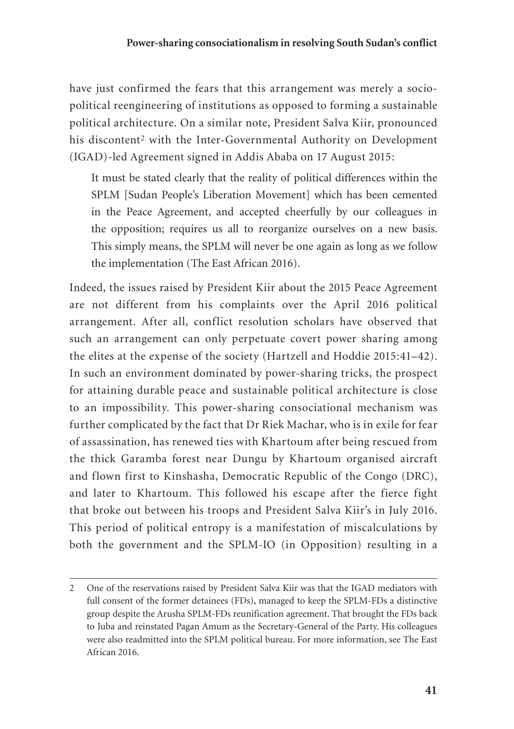#### **Power-sharing consociationalism in resolving South Sudan's conflict**

have just confirmed the fears that this arrangement was merely a sociopolitical reengineering of institutions as opposed to forming a sustainable political architecture. On a similar note, President Salva Kiir, pronounced his discontent<sup>2</sup> with the Inter-Governmental Authority on Development (IGAD)-led Agreement signed in Addis Ababa on 17 August 2015:

It must be stated clearly that the reality of political differences within the SPLM [Sudan People's Liberation Movement] which has been cemented in the Peace Agreement, and accepted cheerfully by our colleagues in the opposition; requires us all to reorganize ourselves on a new basis. This simply means, the SPLM will never be one again as long as we follow the implementation (The East African 2016).

Indeed, the issues raised by President Kiir about the 2015 Peace Agreement are not different from his complaints over the April 2016 political arrangement. After all, conflict resolution scholars have observed that such an arrangement can only perpetuate covert power sharing among the elites at the expense of the society (Hartzell and Hoddie 2015:41–42). In such an environment dominated by power-sharing tricks, the prospect for attaining durable peace and sustainable political architecture is close to an impossibility. This power-sharing consociational mechanism was further complicated by the fact that Dr Riek Machar, who is in exile for fear of assassination, has renewed ties with Khartoum after being rescued from the thick Garamba forest near Dungu by Khartoum organised aircraft and flown first to Kinshasha, Democratic Republic of the Congo (DRC), and later to Khartoum. This followed his escape after the fierce fight that broke out between his troops and President Salva Kiir's in July 2016. This period of political entropy is a manifestation of miscalculations by both the government and the SPLM-IO (in Opposition) resulting in a

<sup>2</sup> One of the reservations raised by President Salva Kiir was that the IGAD mediators with full consent of the former detainees (FDs), managed to keep the SPLM-FDs a distinctive group despite the Arusha SPLM-FDs reunification agreement. That brought the FDs back to Juba and reinstated Pagan Amum as the Secretary-General of the Party. His colleagues were also readmitted into the SPLM political bureau. For more information, see The East African 2016.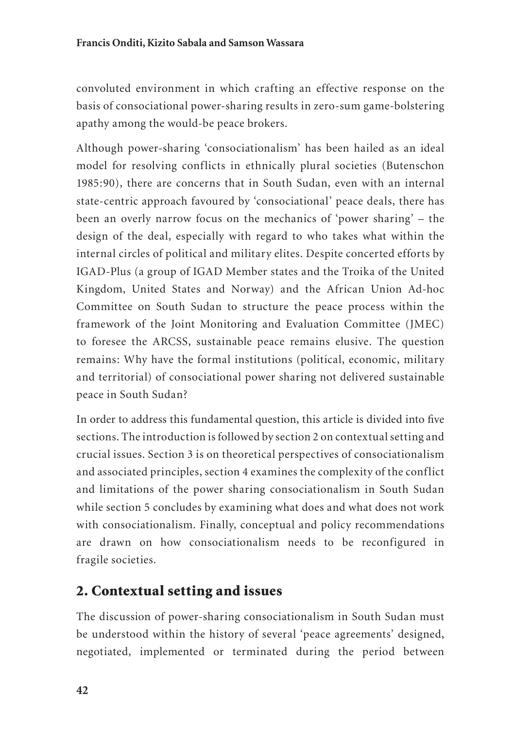convoluted environment in which crafting an effective response on the basis of consociational power-sharing results in zero-sum game-bolstering apathy among the would-be peace brokers.

Although power-sharing 'consociationalism' has been hailed as an ideal model for resolving conflicts in ethnically plural societies (Butenschon 1985:90), there are concerns that in South Sudan, even with an internal state-centric approach favoured by 'consociational' peace deals, there has been an overly narrow focus on the mechanics of 'power sharing' – the design of the deal, especially with regard to who takes what within the internal circles of political and military elites. Despite concerted efforts by IGAD-Plus (a group of IGAD Member states and the Troika of the United Kingdom, United States and Norway) and the African Union Ad-hoc Committee on South Sudan to structure the peace process within the framework of the Joint Monitoring and Evaluation Committee (JMEC) to foresee the ARCSS, sustainable peace remains elusive. The question remains: Why have the formal institutions (political, economic, military and territorial) of consociational power sharing not delivered sustainable peace in South Sudan?

In order to address this fundamental question, this article is divided into five sections. The introduction is followed by section 2 on contextual setting and crucial issues. Section 3 is on theoretical perspectives of consociationalism and associated principles, section 4 examines the complexity of the conflict and limitations of the power sharing consociationalism in South Sudan while section 5 concludes by examining what does and what does not work with consociationalism. Finally, conceptual and policy recommendations are drawn on how consociationalism needs to be reconfigured in fragile societies.

#### 2. Contextual setting and issues

The discussion of power-sharing consociationalism in South Sudan must be understood within the history of several 'peace agreements' designed, negotiated, implemented or terminated during the period between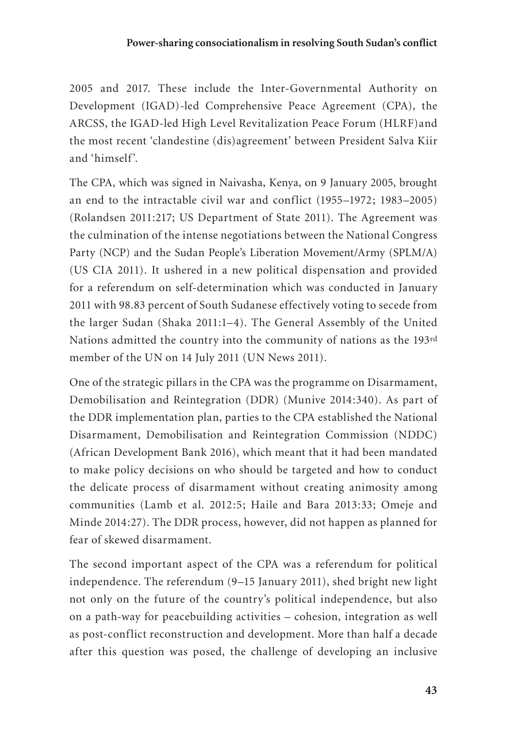2005 and 2017. These include the Inter-Governmental Authority on Development (IGAD)-led Comprehensive Peace Agreement (CPA), the ARCSS, the IGAD-led High Level Revitalization Peace Forum (HLRF)and the most recent 'clandestine (dis)agreement' between President Salva Kiir and 'himself'.

The CPA, which was signed in Naivasha, Kenya, on 9 January 2005, brought an end to the intractable civil war and conflict (1955–1972; 1983–2005) (Rolandsen 2011:217; US Department of State 2011). The Agreement was the culmination of the intense negotiations between the National Congress Party (NCP) and the Sudan People's Liberation Movement/Army (SPLM/A) (US CIA 2011). It ushered in a new political dispensation and provided for a referendum on self-determination which was conducted in January 2011 with 98.83 percent of South Sudanese effectively voting to secede from the larger Sudan (Shaka 2011:1–4). The General Assembly of the United Nations admitted the country into the community of nations as the 193rd member of the UN on 14 July 2011 (UN News 2011).

One of the strategic pillars in the CPA was the programme on Disarmament, Demobilisation and Reintegration (DDR) (Munive 2014:340). As part of the DDR implementation plan, parties to the CPA established the National Disarmament, Demobilisation and Reintegration Commission (NDDC) (African Development Bank 2016), which meant that it had been mandated to make policy decisions on who should be targeted and how to conduct the delicate process of disarmament without creating animosity among communities (Lamb et al. 2012:5; Haile and Bara 2013:33; Omeje and Minde 2014:27). The DDR process, however, did not happen as planned for fear of skewed disarmament.

The second important aspect of the CPA was a referendum for political independence. The referendum (9–15 January 2011), shed bright new light not only on the future of the country's political independence, but also on a path-way for peacebuilding activities – cohesion, integration as well as post-conflict reconstruction and development. More than half a decade after this question was posed, the challenge of developing an inclusive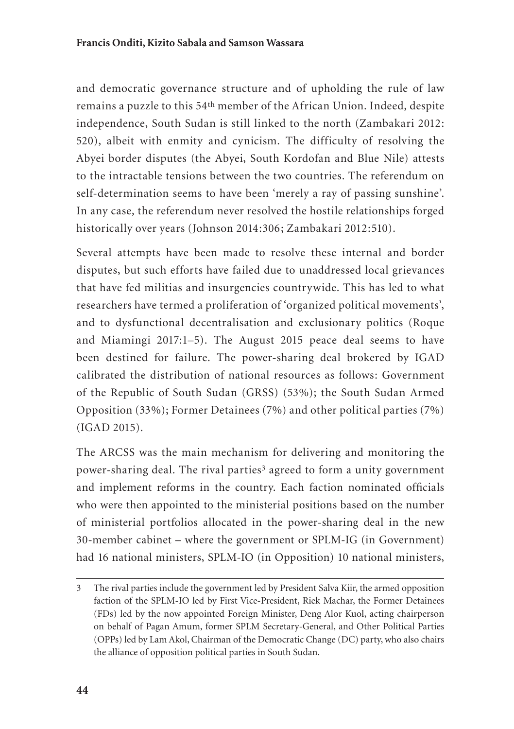and democratic governance structure and of upholding the rule of law remains a puzzle to this 54th member of the African Union. Indeed, despite independence, South Sudan is still linked to the north (Zambakari 2012: 520), albeit with enmity and cynicism. The difficulty of resolving the Abyei border disputes (the Abyei, South Kordofan and Blue Nile) attests to the intractable tensions between the two countries. The referendum on self-determination seems to have been 'merely a ray of passing sunshine'. In any case, the referendum never resolved the hostile relationships forged historically over years (Johnson 2014:306; Zambakari 2012:510).

Several attempts have been made to resolve these internal and border disputes, but such efforts have failed due to unaddressed local grievances that have fed militias and insurgencies countrywide. This has led to what researchers have termed a proliferation of 'organized political movements', and to dysfunctional decentralisation and exclusionary politics (Roque and Miamingi 2017:1–5). The August 2015 peace deal seems to have been destined for failure. The power-sharing deal brokered by IGAD calibrated the distribution of national resources as follows: Government of the Republic of South Sudan (GRSS) (53%); the South Sudan Armed Opposition (33%); Former Detainees (7%) and other political parties (7%) (IGAD 2015).

The ARCSS was the main mechanism for delivering and monitoring the power-sharing deal. The rival parties<sup>3</sup> agreed to form a unity government and implement reforms in the country. Each faction nominated officials who were then appointed to the ministerial positions based on the number of ministerial portfolios allocated in the power-sharing deal in the new 30-member cabinet – where the government or SPLM-IG (in Government) had 16 national ministers, SPLM-IO (in Opposition) 10 national ministers,

<sup>3</sup> The rival parties include the government led by President Salva Kiir, the armed opposition faction of the SPLM-IO led by First Vice-President, Riek Machar, the Former Detainees (FDs) led by the now appointed Foreign Minister, Deng Alor Kuol, acting chairperson on behalf of Pagan Amum, former SPLM Secretary-General, and Other Political Parties (OPPs) led by Lam Akol, Chairman of the Democratic Change (DC) party, who also chairs the alliance of opposition political parties in South Sudan.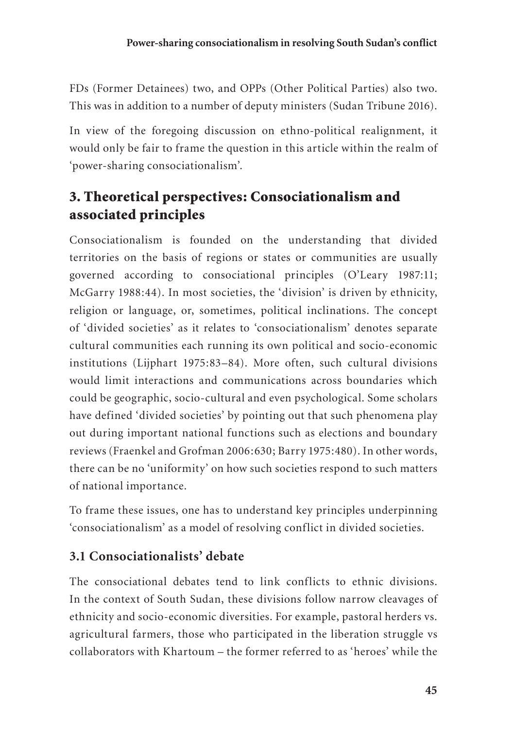FDs (Former Detainees) two, and OPPs (Other Political Parties) also two. This was in addition to a number of deputy ministers (Sudan Tribune 2016).

In view of the foregoing discussion on ethno-political realignment, it would only be fair to frame the question in this article within the realm of 'power-sharing consociationalism'.

#### 3. Theoretical perspectives: Consociationalism and associated principles

Consociationalism is founded on the understanding that divided territories on the basis of regions or states or communities are usually governed according to consociational principles (O'Leary 1987:11; McGarry 1988:44). In most societies, the 'division' is driven by ethnicity, religion or language, or, sometimes, political inclinations. The concept of 'divided societies' as it relates to 'consociationalism' denotes separate cultural communities each running its own political and socio-economic institutions (Lijphart 1975:83–84). More often, such cultural divisions would limit interactions and communications across boundaries which could be geographic, socio-cultural and even psychological. Some scholars have defined 'divided societies' by pointing out that such phenomena play out during important national functions such as elections and boundary reviews (Fraenkel and Grofman 2006:630; Barry 1975:480). In other words, there can be no 'uniformity' on how such societies respond to such matters of national importance.

To frame these issues, one has to understand key principles underpinning 'consociationalism' as a model of resolving conflict in divided societies.

#### **3.1 Consociationalists' debate**

The consociational debates tend to link conflicts to ethnic divisions. In the context of South Sudan, these divisions follow narrow cleavages of ethnicity and socio-economic diversities. For example, pastoral herders vs. agricultural farmers, those who participated in the liberation struggle vs collaborators with Khartoum – the former referred to as 'heroes' while the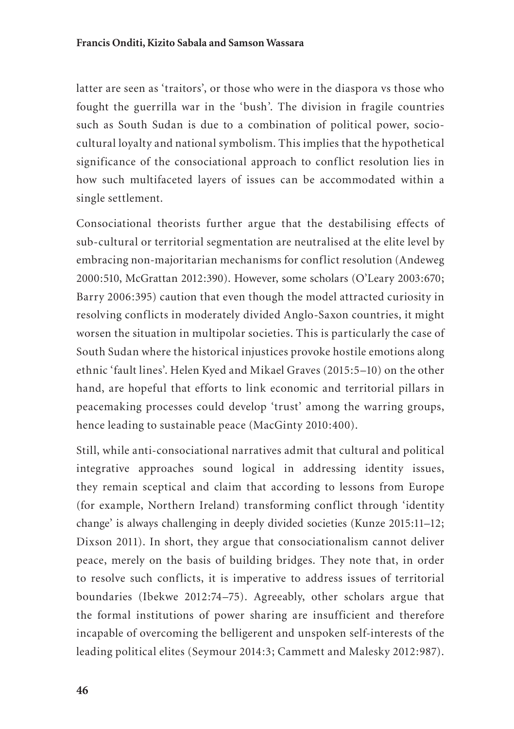latter are seen as 'traitors', or those who were in the diaspora vs those who fought the guerrilla war in the 'bush'. The division in fragile countries such as South Sudan is due to a combination of political power, sociocultural loyalty and national symbolism. This implies that the hypothetical significance of the consociational approach to conflict resolution lies in how such multifaceted layers of issues can be accommodated within a single settlement.

Consociational theorists further argue that the destabilising effects of sub-cultural or territorial segmentation are neutralised at the elite level by embracing non-majoritarian mechanisms for conflict resolution (Andeweg 2000:510, McGrattan 2012:390). However, some scholars (O'Leary 2003:670; Barry 2006:395) caution that even though the model attracted curiosity in resolving conflicts in moderately divided Anglo-Saxon countries, it might worsen the situation in multipolar societies. This is particularly the case of South Sudan where the historical injustices provoke hostile emotions along ethnic 'fault lines'. Helen Kyed and Mikael Graves (2015:5–10) on the other hand, are hopeful that efforts to link economic and territorial pillars in peacemaking processes could develop 'trust' among the warring groups, hence leading to sustainable peace (MacGinty 2010:400).

Still, while anti-consociational narratives admit that cultural and political integrative approaches sound logical in addressing identity issues, they remain sceptical and claim that according to lessons from Europe (for example, Northern Ireland) transforming conflict through 'identity change' is always challenging in deeply divided societies (Kunze 2015:11–12; Dixson 2011). In short, they argue that consociationalism cannot deliver peace, merely on the basis of building bridges. They note that, in order to resolve such conflicts, it is imperative to address issues of territorial boundaries (Ibekwe 2012:74–75). Agreeably, other scholars argue that the formal institutions of power sharing are insufficient and therefore incapable of overcoming the belligerent and unspoken self-interests of the leading political elites (Seymour 2014:3; Cammett and Malesky 2012:987).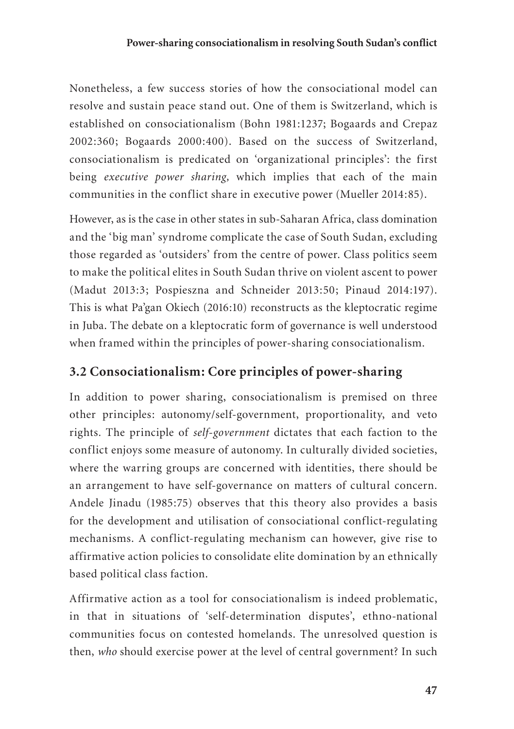Nonetheless, a few success stories of how the consociational model can resolve and sustain peace stand out. One of them is Switzerland, which is established on consociationalism (Bohn 1981:1237; Bogaards and Crepaz 2002:360; Bogaards 2000:400). Based on the success of Switzerland, consociationalism is predicated on 'organizational principles': the first being *executive power sharing,* which implies that each of the main communities in the conflict share in executive power (Mueller 2014:85).

However, as is the case in other states in sub-Saharan Africa, class domination and the 'big man' syndrome complicate the case of South Sudan, excluding those regarded as 'outsiders' from the centre of power. Class politics seem to make the political elites in South Sudan thrive on violent ascent to power (Madut 2013:3; Pospieszna and Schneider 2013:50; Pinaud 2014:197). This is what Pa'gan Okiech (2016:10) reconstructs as the kleptocratic regime in Juba. The debate on a kleptocratic form of governance is well understood when framed within the principles of power-sharing consociationalism.

#### **3.2 Consociationalism: Core principles of power-sharing**

In addition to power sharing, consociationalism is premised on three other principles: autonomy/self-government, proportionality, and veto rights*.* The principle of *self-government* dictates that each faction to the conflict enjoys some measure of autonomy. In culturally divided societies, where the warring groups are concerned with identities, there should be an arrangement to have self-governance on matters of cultural concern. Andele Jinadu (1985:75) observes that this theory also provides a basis for the development and utilisation of consociational conflict-regulating mechanisms. A conflict-regulating mechanism can however, give rise to affirmative action policies to consolidate elite domination by an ethnically based political class faction.

Affirmative action as a tool for consociationalism is indeed problematic, in that in situations of 'self-determination disputes', ethno-national communities focus on contested homelands. The unresolved question is then, *who* should exercise power at the level of central government? In such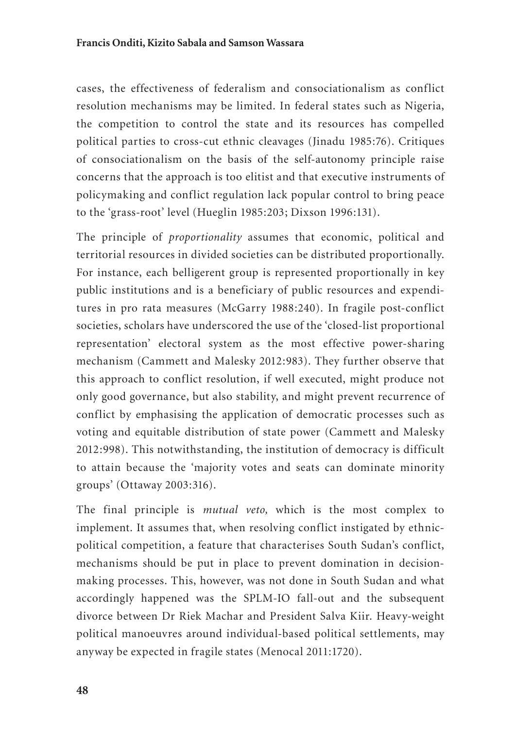cases, the effectiveness of federalism and consociationalism as conflict resolution mechanisms may be limited. In federal states such as Nigeria, the competition to control the state and its resources has compelled political parties to cross-cut ethnic cleavages (Jinadu 1985:76). Critiques of consociationalism on the basis of the self-autonomy principle raise concerns that the approach is too elitist and that executive instruments of policymaking and conflict regulation lack popular control to bring peace to the 'grass-root' level (Hueglin 1985:203; Dixson 1996:131).

The principle of *proportionality* assumes that economic, political and territorial resources in divided societies can be distributed proportionally. For instance, each belligerent group is represented proportionally in key public institutions and is a beneficiary of public resources and expenditures in pro rata measures (McGarry 1988:240). In fragile post-conflict societies, scholars have underscored the use of the 'closed-list proportional representation' electoral system as the most effective power-sharing mechanism (Cammett and Malesky 2012:983). They further observe that this approach to conflict resolution, if well executed, might produce not only good governance, but also stability, and might prevent recurrence of conflict by emphasising the application of democratic processes such as voting and equitable distribution of state power (Cammett and Malesky 2012:998). This notwithstanding, the institution of democracy is difficult to attain because the 'majority votes and seats can dominate minority groups' (Ottaway 2003:316).

The final principle is *mutual veto,* which is the most complex to implement. It assumes that, when resolving conflict instigated by ethnicpolitical competition, a feature that characterises South Sudan's conflict, mechanisms should be put in place to prevent domination in decisionmaking processes. This, however, was not done in South Sudan and what accordingly happened was the SPLM-IO fall-out and the subsequent divorce between Dr Riek Machar and President Salva Kiir. Heavy-weight political manoeuvres around individual-based political settlements, may anyway be expected in fragile states (Menocal 2011:1720).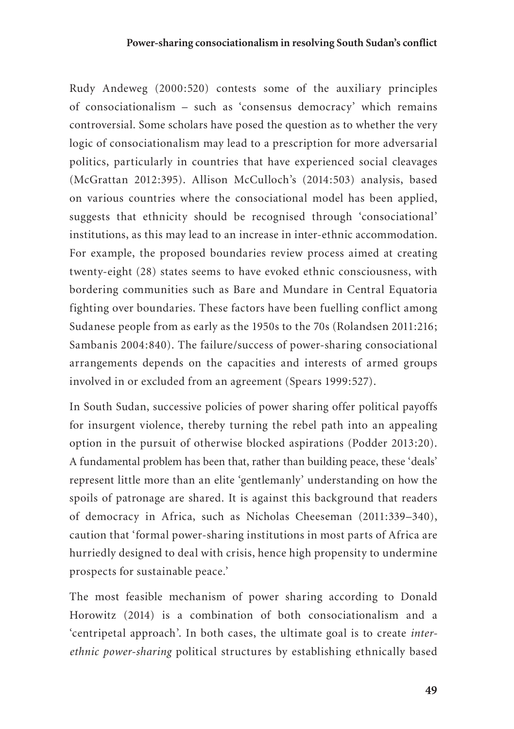Rudy Andeweg (2000:520) contests some of the auxiliary principles of consociationalism – such as 'consensus democracy' which remains controversial. Some scholars have posed the question as to whether the very logic of consociationalism may lead to a prescription for more adversarial politics, particularly in countries that have experienced social cleavages (McGrattan 2012:395). Allison McCulloch's (2014:503) analysis, based on various countries where the consociational model has been applied, suggests that ethnicity should be recognised through 'consociational' institutions, as this may lead to an increase in inter-ethnic accommodation. For example, the proposed boundaries review process aimed at creating twenty-eight (28) states seems to have evoked ethnic consciousness, with bordering communities such as Bare and Mundare in Central Equatoria fighting over boundaries. These factors have been fuelling conflict among Sudanese people from as early as the 1950s to the 70s (Rolandsen 2011:216; Sambanis 2004:840). The failure/success of power-sharing consociational arrangements depends on the capacities and interests of armed groups involved in or excluded from an agreement (Spears 1999:527).

In South Sudan, successive policies of power sharing offer political payoffs for insurgent violence, thereby turning the rebel path into an appealing option in the pursuit of otherwise blocked aspirations (Podder 2013:20). A fundamental problem has been that, rather than building peace, these 'deals' represent little more than an elite 'gentlemanly' understanding on how the spoils of patronage are shared. It is against this background that readers of democracy in Africa, such as Nicholas Cheeseman (2011:339–340), caution that 'formal power-sharing institutions in most parts of Africa are hurriedly designed to deal with crisis, hence high propensity to undermine prospects for sustainable peace.'

The most feasible mechanism of power sharing according to Donald Horowitz (2014) is a combination of both consociationalism and a 'centripetal approach'. In both cases, the ultimate goal is to create *interethnic power-sharing* political structures by establishing ethnically based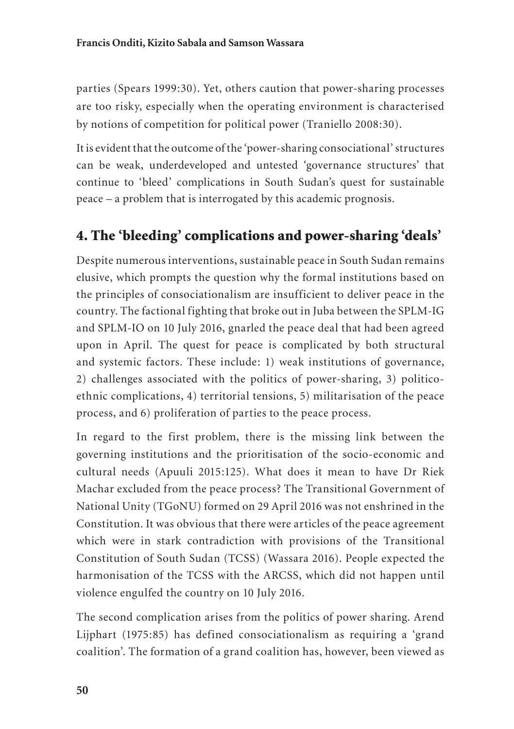parties (Spears 1999:30). Yet, others caution that power-sharing processes are too risky, especially when the operating environment is characterised by notions of competition for political power (Traniello 2008:30).

It is evident that the outcome of the 'power-sharing consociational' structures can be weak, underdeveloped and untested 'governance structures' that continue to 'bleed' complications in South Sudan's quest for sustainable peace – a problem that is interrogated by this academic prognosis.

#### 4. The 'bleeding' complications and power-sharing 'deals'

Despite numerous interventions, sustainable peace in South Sudan remains elusive, which prompts the question why the formal institutions based on the principles of consociationalism are insufficient to deliver peace in the country. The factional fighting that broke out in Juba between the SPLM-IG and SPLM-IO on 10 July 2016, gnarled the peace deal that had been agreed upon in April. The quest for peace is complicated by both structural and systemic factors. These include: 1) weak institutions of governance, 2) challenges associated with the politics of power-sharing, 3) politicoethnic complications, 4) territorial tensions, 5) militarisation of the peace process, and 6) proliferation of parties to the peace process.

In regard to the first problem, there is the missing link between the governing institutions and the prioritisation of the socio-economic and cultural needs (Apuuli 2015:125). What does it mean to have Dr Riek Machar excluded from the peace process? The Transitional Government of National Unity (TGoNU) formed on 29 April 2016 was not enshrined in the Constitution. It was obvious that there were articles of the peace agreement which were in stark contradiction with provisions of the Transitional Constitution of South Sudan (TCSS) (Wassara 2016). People expected the harmonisation of the TCSS with the ARCSS, which did not happen until violence engulfed the country on 10 July 2016.

The second complication arises from the politics of power sharing. Arend Lijphart (1975:85) has defined consociationalism as requiring a 'grand coalition'. The formation of a grand coalition has, however, been viewed as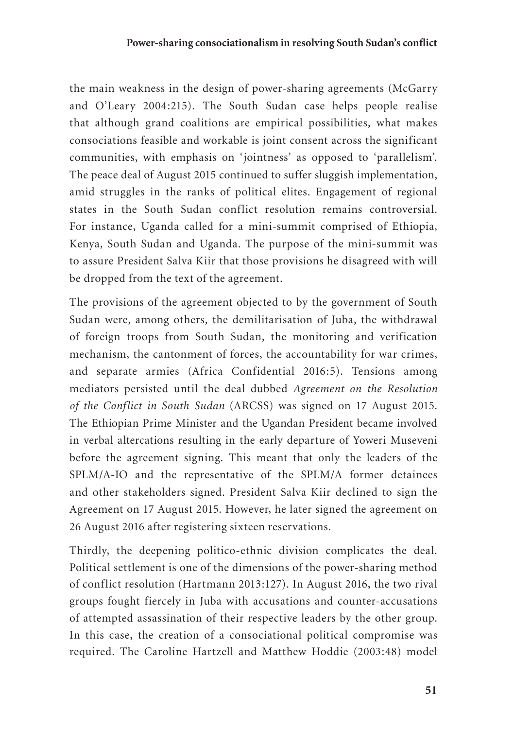the main weakness in the design of power-sharing agreements (McGarry and O'Leary 2004:215). The South Sudan case helps people realise that although grand coalitions are empirical possibilities, what makes consociations feasible and workable is joint consent across the significant communities, with emphasis on 'jointness' as opposed to 'parallelism'. The peace deal of August 2015 continued to suffer sluggish implementation, amid struggles in the ranks of political elites. Engagement of regional states in the South Sudan conflict resolution remains controversial. For instance, Uganda called for a mini-summit comprised of Ethiopia, Kenya, South Sudan and Uganda. The purpose of the mini-summit was to assure President Salva Kiir that those provisions he disagreed with will be dropped from the text of the agreement.

The provisions of the agreement objected to by the government of South Sudan were, among others, the demilitarisation of Juba, the withdrawal of foreign troops from South Sudan, the monitoring and verification mechanism, the cantonment of forces, the accountability for war crimes, and separate armies (Africa Confidential 2016:5). Tensions among mediators persisted until the deal dubbed *Agreement on the Resolution of the Conflict in South Sudan* (ARCSS) was signed on 17 August 2015. The Ethiopian Prime Minister and the Ugandan President became involved in verbal altercations resulting in the early departure of Yoweri Museveni before the agreement signing. This meant that only the leaders of the SPLM/A-IO and the representative of the SPLM/A former detainees and other stakeholders signed. President Salva Kiir declined to sign the Agreement on 17 August 2015. However, he later signed the agreement on 26 August 2016 after registering sixteen reservations.

Thirdly, the deepening politico-ethnic division complicates the deal. Political settlement is one of the dimensions of the power-sharing method of conflict resolution (Hartmann 2013:127). In August 2016, the two rival groups fought fiercely in Juba with accusations and counter-accusations of attempted assassination of their respective leaders by the other group. In this case, the creation of a consociational political compromise was required. The Caroline Hartzell and Matthew Hoddie (2003:48) model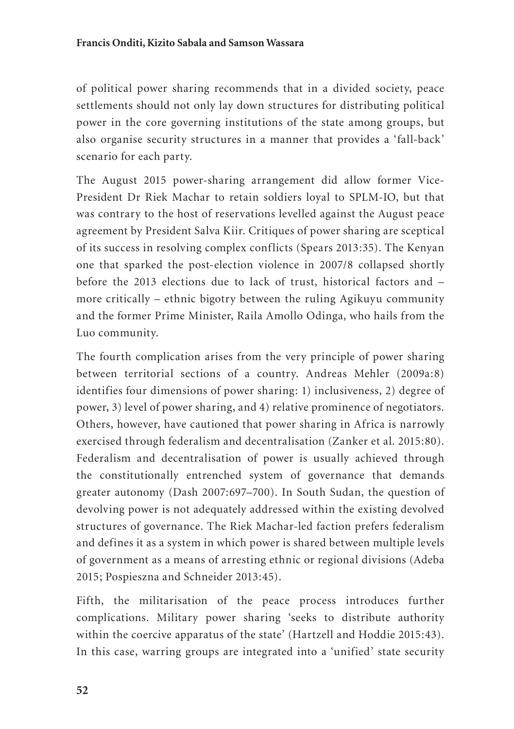of political power sharing recommends that in a divided society, peace settlements should not only lay down structures for distributing political power in the core governing institutions of the state among groups, but also organise security structures in a manner that provides a 'fall-back' scenario for each party.

The August 2015 power-sharing arrangement did allow former Vice-President Dr Riek Machar to retain soldiers loyal to SPLM-IO, but that was contrary to the host of reservations levelled against the August peace agreement by President Salva Kiir. Critiques of power sharing are sceptical of its success in resolving complex conflicts (Spears 2013:35). The Kenyan one that sparked the post-election violence in 2007/8 collapsed shortly before the 2013 elections due to lack of trust, historical factors and – more critically – ethnic bigotry between the ruling Agikuyu community and the former Prime Minister, Raila Amollo Odinga, who hails from the Luo community.

The fourth complication arises from the very principle of power sharing between territorial sections of a country. Andreas Mehler (2009a:8) identifies four dimensions of power sharing: 1) inclusiveness, 2) degree of power, 3) level of power sharing, and 4) relative prominence of negotiators. Others, however, have cautioned that power sharing in Africa is narrowly exercised through federalism and decentralisation (Zanker et al. 2015:80). Federalism and decentralisation of power is usually achieved through the constitutionally entrenched system of governance that demands greater autonomy (Dash 2007:697–700). In South Sudan, the question of devolving power is not adequately addressed within the existing devolved structures of governance. The Riek Machar-led faction prefers federalism and defines it as a system in which power is shared between multiple levels of government as a means of arresting ethnic or regional divisions (Adeba 2015; Pospieszna and Schneider 2013:45).

Fifth, the militarisation of the peace process introduces further complications. Military power sharing 'seeks to distribute authority within the coercive apparatus of the state' (Hartzell and Hoddie 2015:43). In this case, warring groups are integrated into a 'unified' state security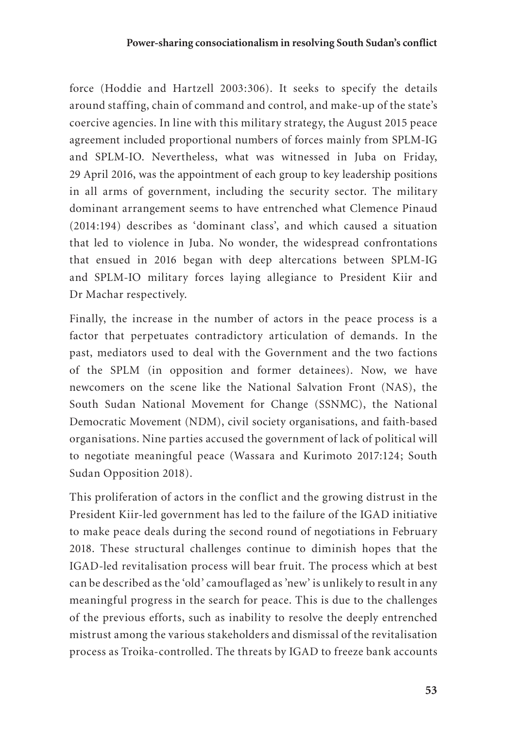force (Hoddie and Hartzell 2003:306). It seeks to specify the details around staffing, chain of command and control, and make-up of the state's coercive agencies. In line with this military strategy, the August 2015 peace agreement included proportional numbers of forces mainly from SPLM-IG and SPLM-IO. Nevertheless, what was witnessed in Juba on Friday, 29 April 2016, was the appointment of each group to key leadership positions in all arms of government, including the security sector. The military dominant arrangement seems to have entrenched what Clemence Pinaud (2014:194) describes as 'dominant class', and which caused a situation that led to violence in Juba. No wonder, the widespread confrontations that ensued in 2016 began with deep altercations between SPLM-IG and SPLM-IO military forces laying allegiance to President Kiir and Dr Machar respectively.

Finally, the increase in the number of actors in the peace process is a factor that perpetuates contradictory articulation of demands. In the past, mediators used to deal with the Government and the two factions of the SPLM (in opposition and former detainees). Now, we have newcomers on the scene like the National Salvation Front (NAS), the South Sudan National Movement for Change (SSNMC), the National Democratic Movement (NDM), civil society organisations, and faith-based organisations. Nine parties accused the government of lack of political will to negotiate meaningful peace (Wassara and Kurimoto 2017:124; South Sudan Opposition 2018).

This proliferation of actors in the conflict and the growing distrust in the President Kiir-led government has led to the failure of the IGAD initiative to make peace deals during the second round of negotiations in February 2018. These structural challenges continue to diminish hopes that the IGAD-led revitalisation process will bear fruit. The process which at best can be described as the 'old' camouflaged as 'new' is unlikely to result in any meaningful progress in the search for peace. This is due to the challenges of the previous efforts, such as inability to resolve the deeply entrenched mistrust among the various stakeholders and dismissal of the revitalisation process as Troika-controlled. The threats by IGAD to freeze bank accounts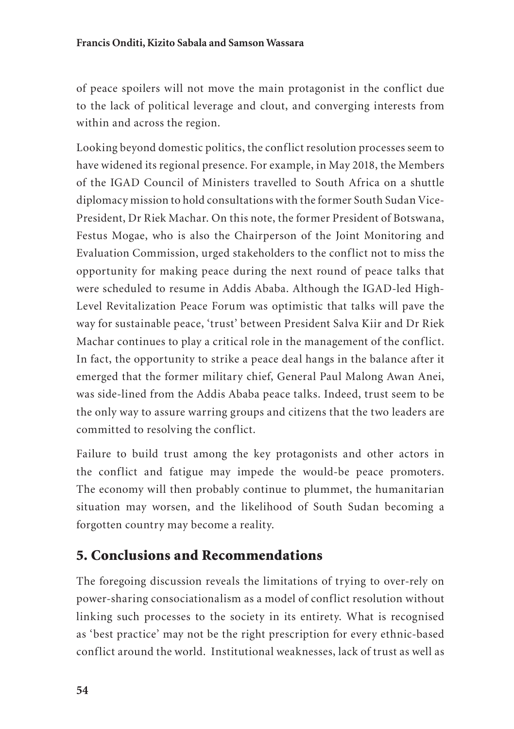of peace spoilers will not move the main protagonist in the conflict due to the lack of political leverage and clout, and converging interests from within and across the region.

Looking beyond domestic politics, the conflict resolution processes seem to have widened its regional presence. For example, in May 2018, the Members of the IGAD Council of Ministers travelled to South Africa on a shuttle diplomacy mission to hold consultations with the former South Sudan Vice-President, Dr Riek Machar. On this note, the former President of Botswana, Festus Mogae, who is also the Chairperson of the Joint Monitoring and Evaluation Commission, urged stakeholders to the conflict not to miss the opportunity for making peace during the next round of peace talks that were scheduled to resume in Addis Ababa. Although the IGAD-led High-Level Revitalization Peace Forum was optimistic that talks will pave the way for sustainable peace, 'trust' between President Salva Kiir and Dr Riek Machar continues to play a critical role in the management of the conflict. In fact, the opportunity to strike a peace deal hangs in the balance after it emerged that the former military chief, General Paul Malong Awan Anei, was side-lined from the Addis Ababa peace talks. Indeed, trust seem to be the only way to assure warring groups and citizens that the two leaders are committed to resolving the conflict.

Failure to build trust among the key protagonists and other actors in the conflict and fatigue may impede the would-be peace promoters. The economy will then probably continue to plummet, the humanitarian situation may worsen, and the likelihood of South Sudan becoming a forgotten country may become a reality.

#### 5. Conclusions and Recommendations

The foregoing discussion reveals the limitations of trying to over-rely on power-sharing consociationalism as a model of conflict resolution without linking such processes to the society in its entirety. What is recognised as 'best practice' may not be the right prescription for every ethnic-based conflict around the world. Institutional weaknesses, lack of trust as well as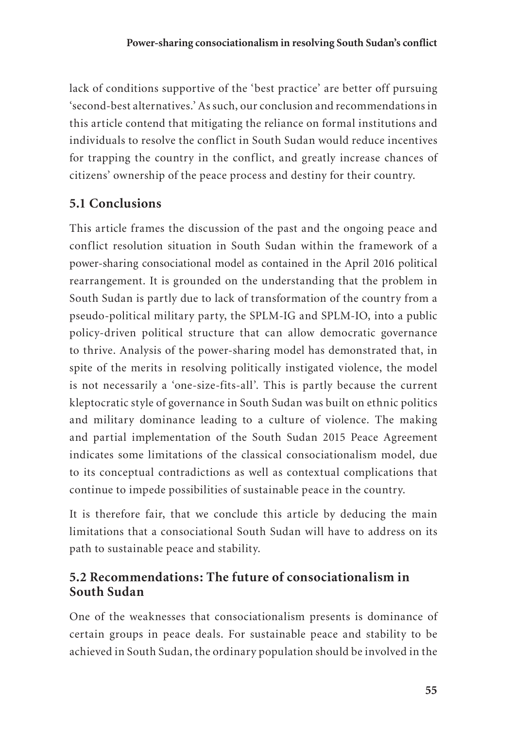lack of conditions supportive of the 'best practice' are better off pursuing 'second-best alternatives.' As such, our conclusion and recommendations in this article contend that mitigating the reliance on formal institutions and individuals to resolve the conflict in South Sudan would reduce incentives for trapping the country in the conflict, and greatly increase chances of citizens' ownership of the peace process and destiny for their country.

#### **5.1 Conclusions**

This article frames the discussion of the past and the ongoing peace and conflict resolution situation in South Sudan within the framework of a power-sharing consociational model as contained in the April 2016 political rearrangement. It is grounded on the understanding that the problem in South Sudan is partly due to lack of transformation of the country from a pseudo-political military party, the SPLM-IG and SPLM-IO, into a public policy-driven political structure that can allow democratic governance to thrive. Analysis of the power-sharing model has demonstrated that, in spite of the merits in resolving politically instigated violence, the model is not necessarily a 'one-size-fits-all'. This is partly because the current kleptocratic style of governance in South Sudan was built on ethnic politics and military dominance leading to a culture of violence. The making and partial implementation of the South Sudan 2015 Peace Agreement indicates some limitations of the classical consociationalism model*,* due to its conceptual contradictions as well as contextual complications that continue to impede possibilities of sustainable peace in the country.

It is therefore fair, that we conclude this article by deducing the main limitations that a consociational South Sudan will have to address on its path to sustainable peace and stability.

#### **5.2 Recommendations: The future of consociationalism in South Sudan**

One of the weaknesses that consociationalism presents is dominance of certain groups in peace deals. For sustainable peace and stability to be achieved in South Sudan, the ordinary population should be involved in the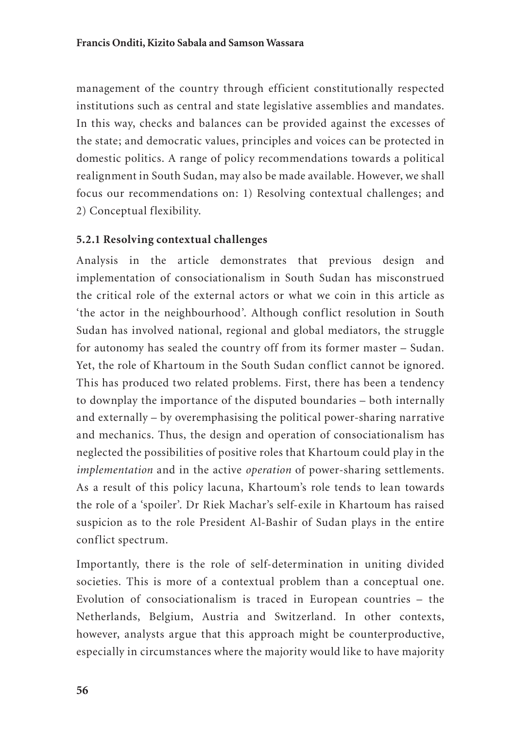management of the country through efficient constitutionally respected institutions such as central and state legislative assemblies and mandates. In this way, checks and balances can be provided against the excesses of the state; and democratic values, principles and voices can be protected in domestic politics. A range of policy recommendations towards a political realignment in South Sudan, may also be made available. However, we shall focus our recommendations on: 1) Resolving contextual challenges; and 2) Conceptual flexibility.

#### **5.2.1 Resolving contextual challenges**

Analysis in the article demonstrates that previous design and implementation of consociationalism in South Sudan has misconstrued the critical role of the external actors or what we coin in this article as 'the actor in the neighbourhood'. Although conflict resolution in South Sudan has involved national, regional and global mediators, the struggle for autonomy has sealed the country off from its former master – Sudan. Yet, the role of Khartoum in the South Sudan conflict cannot be ignored. This has produced two related problems. First, there has been a tendency to downplay the importance of the disputed boundaries – both internally and externally – by overemphasising the political power-sharing narrative and mechanics. Thus, the design and operation of consociationalism has neglected the possibilities of positive roles that Khartoum could play in the *implementation* and in the active *operation* of power-sharing settlements. As a result of this policy lacuna, Khartoum's role tends to lean towards the role of a 'spoiler'. Dr Riek Machar's self-exile in Khartoum has raised suspicion as to the role President Al-Bashir of Sudan plays in the entire conflict spectrum.

Importantly, there is the role of self-determination in uniting divided societies. This is more of a contextual problem than a conceptual one. Evolution of consociationalism is traced in European countries – the Netherlands, Belgium, Austria and Switzerland. In other contexts, however, analysts argue that this approach might be counterproductive, especially in circumstances where the majority would like to have majority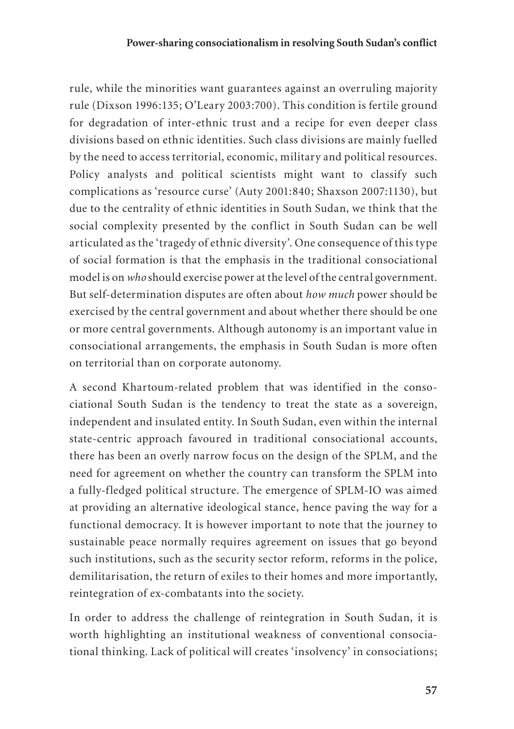rule, while the minorities want guarantees against an overruling majority rule (Dixson 1996:135; O'Leary 2003:700). This condition is fertile ground for degradation of inter-ethnic trust and a recipe for even deeper class divisions based on ethnic identities. Such class divisions are mainly fuelled by the need to access territorial, economic, military and political resources. Policy analysts and political scientists might want to classify such complications as 'resource curse' (Auty 2001:840; Shaxson 2007:1130), but due to the centrality of ethnic identities in South Sudan, we think that the social complexity presented by the conflict in South Sudan can be well articulated as the 'tragedy of ethnic diversity'. One consequence of this type of social formation is that the emphasis in the traditional consociational model is on *who* should exercise power at the level of the central government. But self-determination disputes are often about *how much* power should be exercised by the central government and about whether there should be one or more central governments. Although autonomy is an important value in consociational arrangements, the emphasis in South Sudan is more often on territorial than on corporate autonomy.

A second Khartoum-related problem that was identified in the consociational South Sudan is the tendency to treat the state as a sovereign, independent and insulated entity. In South Sudan, even within the internal state-centric approach favoured in traditional consociational accounts, there has been an overly narrow focus on the design of the SPLM, and the need for agreement on whether the country can transform the SPLM into a fully-fledged political structure. The emergence of SPLM-IO was aimed at providing an alternative ideological stance, hence paving the way for a functional democracy. It is however important to note that the journey to sustainable peace normally requires agreement on issues that go beyond such institutions, such as the security sector reform, reforms in the police, demilitarisation, the return of exiles to their homes and more importantly, reintegration of ex-combatants into the society.

In order to address the challenge of reintegration in South Sudan, it is worth highlighting an institutional weakness of conventional consociational thinking. Lack of political will creates 'insolvency' in consociations;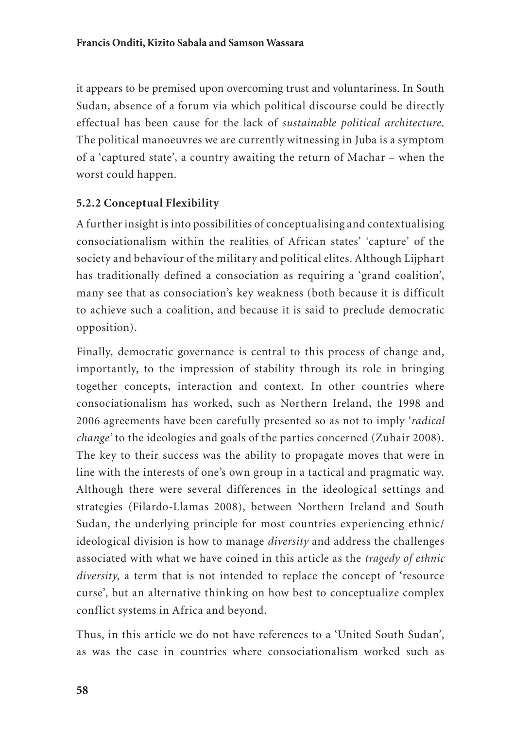it appears to be premised upon overcoming trust and voluntariness. In South Sudan, absence of a forum via which political discourse could be directly effectual has been cause for the lack of *sustainable political architecture*. The political manoeuvres we are currently witnessing in Juba is a symptom of a 'captured state', a country awaiting the return of Machar – when the worst could happen.

#### **5.2.2 Conceptual Flexibility**

A further insight is into possibilities of conceptualising and contextualising consociationalism within the realities of African states' 'capture' of the society and behaviour of the military and political elites*.* Although Lijphart has traditionally defined a consociation as requiring a 'grand coalition', many see that as consociation's key weakness (both because it is difficult to achieve such a coalition, and because it is said to preclude democratic opposition).

Finally, democratic governance is central to this process of change and, importantly, to the impression of stability through its role in bringing together concepts, interaction and context. In other countries where consociationalism has worked, such as Northern Ireland, the 1998 and 2006 agreements have been carefully presented so as not to imply '*radical change'* to the ideologies and goals of the parties concerned (Zuhair 2008). The key to their success was the ability to propagate moves that were in line with the interests of one's own group in a tactical and pragmatic way. Although there were several differences in the ideological settings and strategies (Filardo-Llamas 2008), between Northern Ireland and South Sudan, the underlying principle for most countries experiencing ethnic/ ideological division is how to manage *diversity* and address the challenges associated with what we have coined in this article as the *tragedy of ethnic diversity*, a term that is not intended to replace the concept of 'resource curse', but an alternative thinking on how best to conceptualize complex conflict systems in Africa and beyond.

Thus, in this article we do not have references to a 'United South Sudan', as was the case in countries where consociationalism worked such as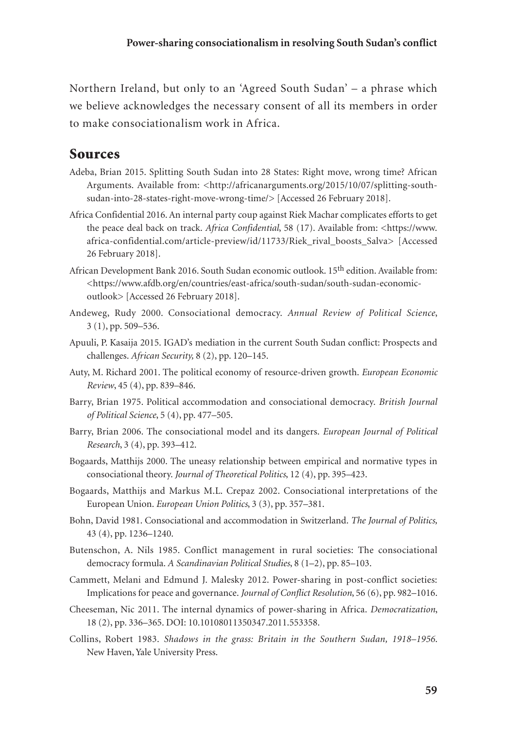Northern Ireland, but only to an 'Agreed South Sudan' – a phrase which we believe acknowledges the necessary consent of all its members in order to make consociationalism work in Africa.

#### Sources

- Adeba, Brian 2015. Splitting South Sudan into 28 States: Right move, wrong time? African Arguments. Available from: <http://africanarguments.org/2015/10/07/splitting-southsudan-into-28-states-right-move-wrong-time/> [Accessed 26 February 2018].
- Africa Confidential 2016. An internal party coup against Riek Machar complicates efforts to get the peace deal back on track. *Africa Confidential*, 58 (17). Available from: <https://www. africa-confidential.com/article-preview/id/11733/Riek\_rival\_boosts\_Salva> [Accessed 26 February 2018].
- African Development Bank 2016. South Sudan economic outlook. 15th edition. Available from: <https://www.afdb.org/en/countries/east-africa/south-sudan/south-sudan-economicoutlook> [Accessed 26 February 2018].
- Andeweg, Rudy 2000. Consociational democracy. *Annual Review of Political Science*, 3 (1), pp. 509–536.
- Apuuli, P. Kasaija 2015. IGAD's mediation in the current South Sudan conflict: Prospects and challenges. *African Security,* 8 (2), pp. 120–145.
- Auty, M. Richard 2001. The political economy of resource-driven growth. *European Economic Review*, 45 (4), pp. 839–846.
- Barry, Brian 1975. Political accommodation and consociational democracy. *British Journal of Political Science*, 5 (4), pp. 477–505.
- Barry, Brian 2006. The consociational model and its dangers. *European Journal of Political Research*, 3 (4), pp. 393–412.
- Bogaards, Matthijs 2000. The uneasy relationship between empirical and normative types in consociational theory. *Journal of Theoretical Politics*, 12 (4), pp. 395–423.
- Bogaards, Matthijs and Markus M.L. Crepaz 2002. Consociational interpretations of the European Union. *European Union Politics*, 3 (3), pp. 357–381.
- Bohn, David 1981. Consociational and accommodation in Switzerland. *The Journal of Politics,*  43 (4), pp. 1236–1240.
- Butenschon, A. Nils 1985. Conflict management in rural societies: The consociational democracy formula. *A Scandinavian Political Studies*, 8 (1–2), pp. 85–103.
- Cammett, Melani and Edmund J. Malesky 2012. Power-sharing in post-conflict societies: Implications for peace and governance. *Journal of Conflict Resolution*, 56 (6), pp. 982–1016.
- Cheeseman, Nic 2011. The internal dynamics of power-sharing in Africa. *Democratization*, 18 (2), pp. 336–365. DOI: 10.10108011350347.2011.553358.
- Collins, Robert 1983. *Shadows in the grass: Britain in the Southern Sudan, 1918–1956*. New Haven, Yale University Press.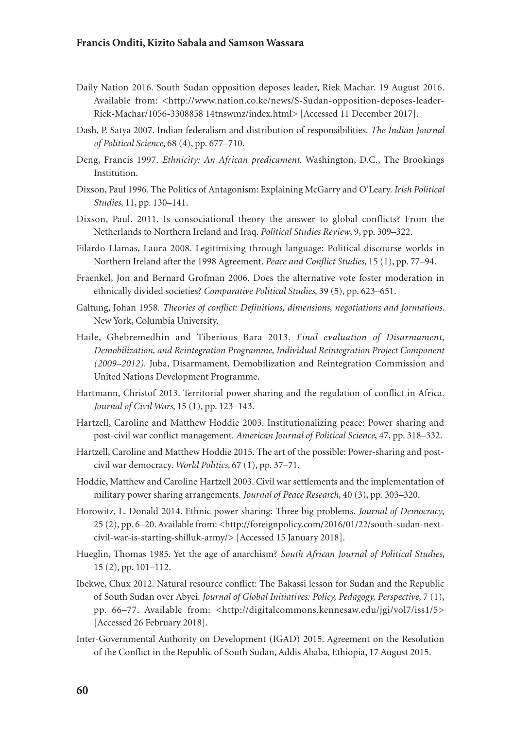#### **Francis Onditi, Kizito Sabala and Samson Wassara**

- Daily Nation 2016. South Sudan opposition deposes leader, Riek Machar. 19 August 2016. Available from: <http://www.nation.co.ke/news/S-Sudan-opposition-deposes-leader-Riek-Machar/1056-3308858 14tnswmz/index.html> [Accessed 11 December 2017].
- Dash, P. Satya 2007. Indian federalism and distribution of responsibilities. *The Indian Journal of Political Science*, 68 (4), pp. 677–710.
- Deng, Francis 1997. *Ethnicity: An African predicament*. Washington, D.C., The Brookings Institution.
- Dixson, Paul 1996. The Politics of Antagonism: Explaining McGarry and O'Leary. *Irish Political Studies*, 11, pp. 130–141.
- Dixson, Paul. 2011. Is consociational theory the answer to global conflicts? From the Netherlands to Northern Ireland and Iraq. *Political Studies Review*, 9, pp. 309–322.
- Filardo-Llamas, Laura 2008. Legitimising through language: Political discourse worlds in Northern Ireland after the 1998 Agreement. *Peace and Conflict Studies*, 15 (1), pp. 77–94.
- Fraenkel, Jon and Bernard Grofman 2006. Does the alternative vote foster moderation in ethnically divided societies? *Comparative Political Studies*, 39 (5), pp. 623–651.
- Galtung, Johan 1958. *Theories of conflict: Definitions, dimensions, negotiations and formations*. New York, Columbia University.
- Haile, Ghebremedhin and Tiberious Bara 2013. *Final evaluation of Disarmament, Demobilization, and Reintegration Programme, Individual Reintegration Project Component (2009–2012).* Juba, Disarmament, Demobilization and Reintegration Commission and United Nations Development Programme.
- Hartmann, Christof 2013. Territorial power sharing and the regulation of conflict in Africa. *Journal of Civil Wars*, 15 (1), pp. 123–143.
- Hartzell, Caroline and Matthew Hoddie 2003. Institutionalizing peace: Power sharing and post-civil war conflict management. *American Journal of Political Science*, 47, pp. 318–332.
- Hartzell, Caroline and Matthew Hoddie 2015. The art of the possible: Power-sharing and postcivil war democracy. *World Politics*, 67 (1), pp. 37–71.
- Hoddie, Matthew and Caroline Hartzell 2003. Civil war settlements and the implementation of military power sharing arrangements*. Journal of Peace Research*, 40 (3), pp. 303–320.
- Horowitz, L. Donald 2014. Ethnic power sharing: Three big problems. *Journal of Democracy*, 25 (2), pp. 6–20. Available from: <http://foreignpolicy.com/2016/01/22/south-sudan-nextcivil-war-is-starting-shilluk-army/> [Accessed 15 January 2018].
- Hueglin, Thomas 1985. Yet the age of anarchism? *South African Journal of Political Studies*, 15 (2), pp. 101–112.
- Ibekwe, Chux 2012. Natural resource conflict: The Bakassi lesson for Sudan and the Republic of South Sudan over Abyei. *Journal of Global Initiatives: Policy, Pedagogy, Perspective*, 7 (1), pp. 66–77. Available from: <http://digitalcommons.kennesaw.edu/jgi/vol7/iss1/5> [Accessed 26 February 2018].
- Inter-Governmental Authority on Development (IGAD) 2015. Agreement on the Resolution of the Conflict in the Republic of South Sudan, Addis Ababa, Ethiopia, 17 August 2015.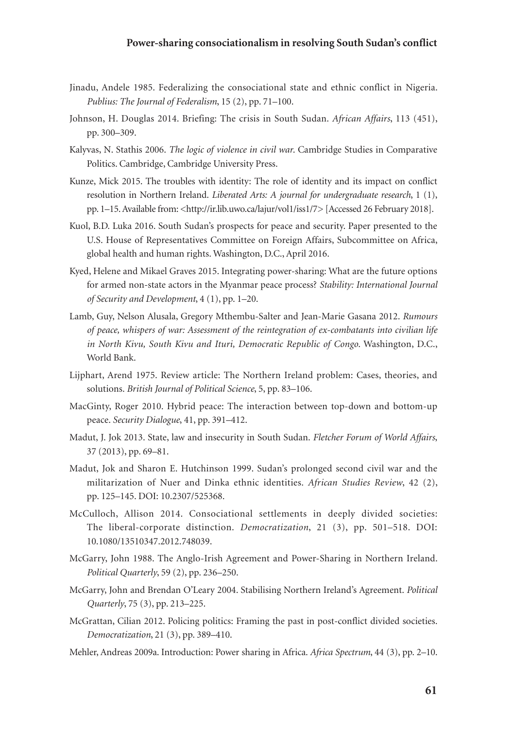- Jinadu, Andele 1985. Federalizing the consociational state and ethnic conflict in Nigeria. *Publius: The Journal of Federalism*, 15 (2), pp. 71–100.
- Johnson, H. Douglas 2014. Briefing: The crisis in South Sudan. *African Affairs*, 113 (451), pp. 300–309.
- Kalyvas, N. Stathis 2006. *The logic of violence in civil war*. Cambridge Studies in Comparative Politics. Cambridge, Cambridge University Press.
- Kunze, Mick 2015. The troubles with identity: The role of identity and its impact on conflict resolution in Northern Ireland. *Liberated Arts: A journal for undergraduate research*, 1 (1), pp. 1–15. Available from: <http://ir.lib.uwo.ca/lajur/vol1/iss1/7> [Accessed 26 February 2018].
- Kuol, B.D. Luka 2016. South Sudan's prospects for peace and security. Paper presented to the U.S. House of Representatives Committee on Foreign Affairs, Subcommittee on Africa, global health and human rights. Washington, D.C., April 2016.
- Kyed, Helene and Mikael Graves 2015. Integrating power-sharing: What are the future options for armed non-state actors in the Myanmar peace process? *Stability: International Journal of Security and Development*, 4 (1), pp. 1–20.
- Lamb, Guy, Nelson Alusala, Gregory Mthembu-Salter and Jean-Marie Gasana 2012. *Rumours of peace, whispers of war: Assessment of the reintegration of ex-combatants into civilian life in North Kivu, South Kivu and Ituri, Democratic Republic of Congo*. Washington, D.C., World Bank.
- Lijphart, Arend 1975. Review article: The Northern Ireland problem: Cases, theories, and solutions. *British Journal of Political Science*, 5, pp. 83–106.
- MacGinty, Roger 2010. Hybrid peace: The interaction between top-down and bottom-up peace. *Security Dialogue*, 41, pp. 391–412.
- Madut, J. Jok 2013. State, law and insecurity in South Sudan. *Fletcher Forum of World Affairs*, 37 (2013), pp. 69–81.
- Madut, Jok and Sharon E. Hutchinson 1999. Sudan's prolonged second civil war and the militarization of Nuer and Dinka ethnic identities. *African Studies Review*, 42 (2), pp. 125–145. DOI: 10.2307/525368.
- McCulloch, Allison 2014. Consociational settlements in deeply divided societies: The liberal-corporate distinction. *Democratization*, 21 (3), pp. 501–518. DOI: 10.1080/13510347.2012.748039.
- McGarry, John 1988. The Anglo-Irish Agreement and Power-Sharing in Northern Ireland. *Political Quarterly*, 59 (2), pp. 236–250.
- McGarry, John and Brendan O'Leary 2004. Stabilising Northern Ireland's Agreement. *Political Quarterly*, 75 (3), pp. 213–225.
- McGrattan, Cilian 2012. Policing politics: Framing the past in post-conflict divided societies. *Democratization*, 21 (3), pp. 389–410.
- Mehler, Andreas 2009a. Introduction: Power sharing in Africa. *Africa Spectrum*, 44 (3), pp. 2–10.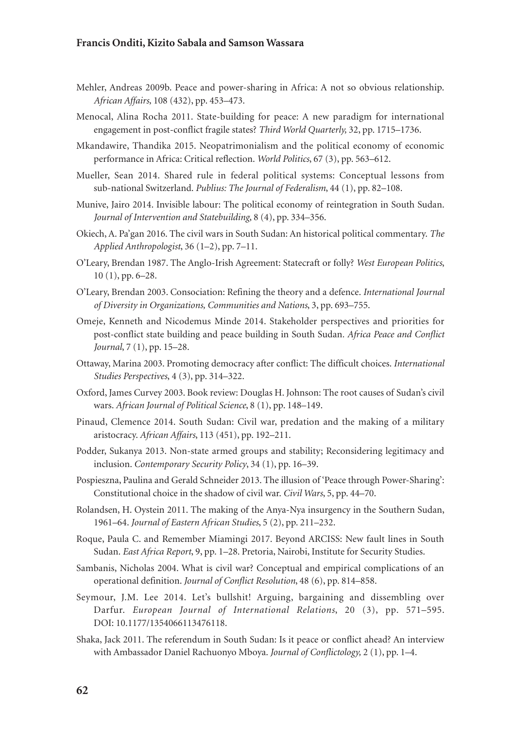#### **Francis Onditi, Kizito Sabala and Samson Wassara**

- Mehler, Andreas 2009b. Peace and power-sharing in Africa: A not so obvious relationship. *African Affairs,* 108 (432), pp. 453–473.
- Menocal, Alina Rocha 2011. State-building for peace: A new paradigm for international engagement in post-conflict fragile states? *Third World Quarterly,* 32, pp. 1715–1736.
- Mkandawire, Thandika 2015. Neopatrimonialism and the political economy of economic performance in Africa: Critical reflection. *World Politics*, 67 (3), pp. 563–612.
- Mueller, Sean 2014. Shared rule in federal political systems: Conceptual lessons from sub-national Switzerland. *Publius: The Journal of Federalism*, 44 (1), pp. 82–108.
- Munive, Jairo 2014. Invisible labour: The political economy of reintegration in South Sudan. *Journal of Intervention and Statebuilding*, 8 (4), pp. 334–356.
- Okiech, A. Pa'gan 2016. The civil wars in South Sudan: An historical political commentary. *The Applied Anthropologist*, 36 (1–2), pp. 7–11.
- O'Leary, Brendan 1987. The Anglo-Irish Agreement: Statecraft or folly? *West European Politics*, 10 (1), pp. 6–28.
- O'Leary, Brendan 2003. Consociation: Refining the theory and a defence. *International Journal of Diversity in Organizations, Communities and Nations*, 3, pp. 693–755.
- Omeje, Kenneth and Nicodemus Minde 2014. Stakeholder perspectives and priorities for post-conflict state building and peace building in South Sudan*. Africa Peace and Conflict Journal*, 7 (1), pp. 15–28.
- Ottaway, Marina 2003. Promoting democracy after conflict: The difficult choices. *International Studies Perspectives*, 4 (3), pp. 314–322.
- Oxford, James Curvey 2003. Book review: Douglas H. Johnson: The root causes of Sudan's civil wars. *African Journal of Political Science*, 8 (1), pp. 148–149.
- Pinaud, Clemence 2014. South Sudan: Civil war, predation and the making of a military aristocracy. *African Affairs*, 113 (451), pp. 192–211.
- Podder, Sukanya 2013. Non-state armed groups and stability; Reconsidering legitimacy and inclusion. *Contemporary Security Policy*, 34 (1), pp. 16–39.
- Pospieszna, Paulina and Gerald Schneider 2013. The illusion of 'Peace through Power-Sharing': Constitutional choice in the shadow of civil war. *Civil Wars*, 5, pp. 44–70.
- Rolandsen, H. Oystein 2011. The making of the Anya-Nya insurgency in the Southern Sudan, 1961–64. *Journal of Eastern African Studies*, 5 (2), pp. 211–232.
- Roque, Paula C. and Remember Miamingi 2017. Beyond ARCISS: New fault lines in South Sudan. *East Africa Report*, 9, pp. 1–28. Pretoria, Nairobi, Institute for Security Studies.
- Sambanis, Nicholas 2004. What is civil war? Conceptual and empirical complications of an operational definition. *Journal of Conflict Resolution*, 48 (6), pp. 814–858.
- Seymour, J.M. Lee 2014. Let's bullshit! Arguing, bargaining and dissembling over Darfur. *European Journal of International Relations*, 20 (3), pp. 571–595. DOI: 10.1177/1354066113476118.
- Shaka, Jack 2011. The referendum in South Sudan: Is it peace or conflict ahead? An interview with Ambassador Daniel Rachuonyo Mboya. *Journal of Conflictology,* 2 (1), pp. 1–4.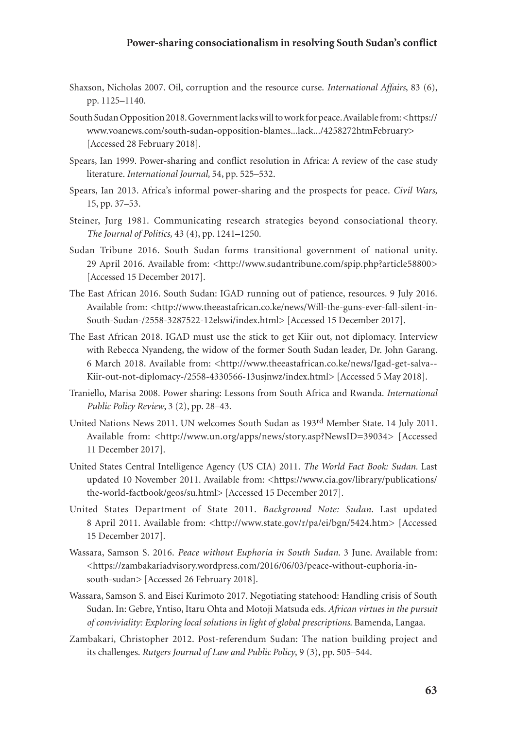- Shaxson, Nicholas 2007. Oil, corruption and the resource curse. *International Affairs*, 83 (6), pp. 1125–1140.
- South Sudan Opposition 2018. Government lacks will to work for peace. Available from: <https:// www.voanews.com/south-sudan-opposition-blames...lack.../4258272htmFebruary> [Accessed 28 February 2018].
- Spears, Ian 1999. Power-sharing and conflict resolution in Africa: A review of the case study literature. *International Journal,* 54, pp. 525–532.
- Spears, Ian 2013. Africa's informal power-sharing and the prospects for peace. *Civil Wars,*  15, pp. 37–53.
- Steiner, Jurg 1981. Communicating research strategies beyond consociational theory. *The Journal of Politics,* 43 (4), pp. 1241–1250.
- Sudan Tribune 2016. South Sudan forms transitional government of national unity. 29 April 2016. Available from: <http://www.sudantribune.com/spip.php?article58800> [Accessed 15 December 2017].
- The East African 2016. South Sudan: IGAD running out of patience, resources. 9 July 2016. Available from: <http://www.theeastafrican.co.ke/news/Will-the-guns-ever-fall-silent-in-South-Sudan-/2558-3287522-12elswi/index.html> [Accessed 15 December 2017].
- The East African 2018. IGAD must use the stick to get Kiir out, not diplomacy. Interview with Rebecca Nyandeng, the widow of the former South Sudan leader, Dr. John Garang. 6 March 2018. Available from: <http://www.theeastafrican.co.ke/news/Igad-get-salva--Kiir-out-not-diplomacy-/2558-4330566-13usjnwz/index.html> [Accessed 5 May 2018].
- Traniello, Marisa 2008*.* Power sharing: Lessons from South Africa and Rwanda. *International Public Policy Review*, 3 (2), pp. 28–43.
- United Nations News 2011. UN welcomes South Sudan as 193rd Member State. 14 July 2011. Available from: <http://www.un.org/apps/news/story.asp?NewsID=39034> [Accessed 11 December 2017].
- United States Central Intelligence Agency (US CIA) 2011. *The World Fact Book: Sudan.* Last updated 10 November 2011. Available from: <https://www.cia.gov/library/publications/ the-world-factbook/geos/su.html> [Accessed 15 December 2017].
- United States Department of State 2011. *Background Note: Sudan*. Last updated 8 April 2011. Available from: <http://www.state.gov/r/pa/ei/bgn/5424.htm> [Accessed] 15 December 2017].
- Wassara, Samson S. 2016. *Peace without Euphoria in South Sudan*. 3 June. Available from: <https://zambakariadvisory.wordpress.com/2016/06/03/peace-without-euphoria-insouth-sudan> [Accessed 26 February 2018].
- Wassara, Samson S. and Eisei Kurimoto 2017. Negotiating statehood: Handling crisis of South Sudan. In: Gebre, Yntiso, Itaru Ohta and Motoji Matsuda eds. *African virtues in the pursuit of conviviality: Exploring local solutions in light of global prescriptions*. Bamenda, Langaa.
- Zambakari, Christopher 2012. Post-referendum Sudan: The nation building project and its challenges. *Rutgers Journal of Law and Public Policy*, 9 (3), pp. 505–544.